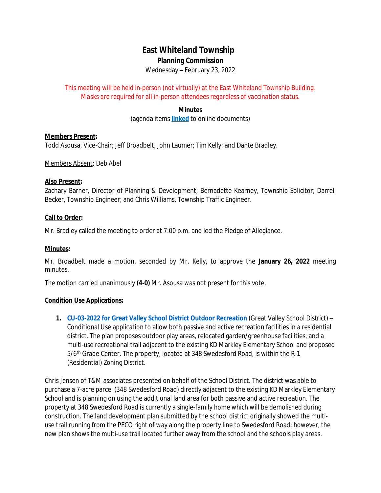# **East Whiteland Township**

## **Planning Commission**

Wednesday – February 23, 2022

*This meeting will be held in-person (not virtually) at the East Whiteland Township Building. Masks are required for all in-person attendees regardless of vaccination status.*

### **Minutes**

(agenda items **[linked](http://www.eastwhiteland.org/)** to online documents)

#### **Members Present:**

Todd Asousa, Vice-Chair; Jeff Broadbelt, John Laumer; Tim Kelly; and Dante Bradley.

Members Absent: Deb Abel

#### **Also Present:**

Zachary Barner, Director of Planning & Development; Bernadette Kearney, Township Solicitor; Darrell Becker, Township Engineer; and Chris Williams, Township Traffic Engineer.

#### **Call to Order:**

Mr. Bradley called the meeting to order at 7:00 p.m. and led the Pledge of Allegiance.

#### **Minutes:**

Mr. Broadbelt made a motion, seconded by Mr. Kelly, to approve the **January 26, 2022** meeting minutes.

The motion carried unanimously **(4-0)** Mr. Asousa was not present for this vote.

#### **Condition Use Applications:**

**1. [CU-03-2022 for Great Valley School District Outdoor Recreation](https://www.eastwhiteland.org/DocumentCenter/Index/315)** (Great Valley School District) – Conditional Use application to allow both passive and active recreation facilities in a residential district. The plan proposes outdoor play areas, relocated garden/greenhouse facilities, and a multi-use recreational trail adjacent to the existing KD Markley Elementary School and proposed 5/6<sup>th</sup> Grade Center. The property, located at 348 Swedesford Road, is within the R-1 (Residential) Zoning District.

Chris Jensen of T&M associates presented on behalf of the School District. The district was able to purchase a 7-acre parcel (348 Swedesford Road) directly adjacent to the existing KD Markley Elementary School and is planning on using the additional land area for both passive and active recreation. The property at 348 Swedesford Road is currently a single-family home which will be demolished during construction. The land development plan submitted by the school district originally showed the multiuse trail running from the PECO right of way along the property line to Swedesford Road; however, the new plan shows the multi-use trail located further away from the school and the schools play areas.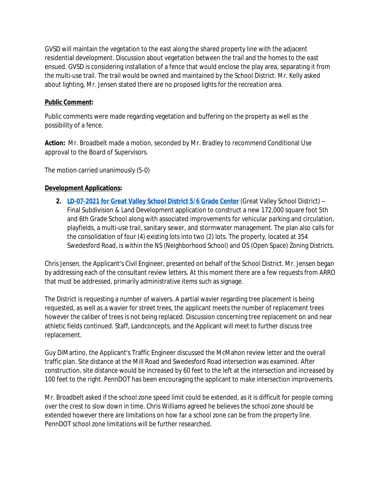GVSD will maintain the vegetation to the east along the shared property line with the adjacent residential development. Discussion about vegetation between the trail and the homes to the east ensued. GVSD is considering installation of a fence that would enclose the play area, separating it from the multi-use trail. The trail would be owned and maintained by the School District. Mr. Kelly asked about lighting, Mr. Jensen stated there are no proposed lights for the recreation area.

## **Public Comment:**

Public comments were made regarding vegetation and buffering on the property as well as the possibility of a fence.

**Action:** Mr. Broadbelt made a motion, seconded by Mr. Bradley to recommend Conditional Use approval to the Board of Supervisors.

The motion carried unanimously (5-0)

## **Development Applications:**

**2. [LD-07-2021 for Great Valley School District 5/6 Grade Center](https://www.eastwhiteland.org/DocumentCenter/Index/297)** (Great Valley School District) – Final Subdivision & Land Development application to construct a new 172,000 square foot 5th and 6th Grade School along with associated improvements for vehicular parking and circulation, playfields, a multi-use trail, sanitary sewer, and stormwater management. The plan also calls for the consolidation of four (4) existing lots into two (2) lots. The property, located at 354 Swedesford Road, is within the NS (Neighborhood School) and OS (Open Space) Zoning Districts.

Chris Jensen, the Applicant's Civil Engineer, presented on behalf of the School District. Mr. Jensen began by addressing each of the consultant review letters. At this moment there are a few requests from ARRO that must be addressed, primarily administrative items such as signage.

The District is requesting a number of waivers. A partial wavier regarding tree placement is being requested, as well as a wavier for street trees, the applicant meets the number of replacement trees however the caliber of trees is not being replaced. Discussion concerning tree replacement on and near athletic fields continued. Staff, Landconcepts, and the Applicant will meet to further discuss tree replacement.

Guy DiMartino, the Applicant's Traffic Engineer discussed the McMahon review letter and the overall traffic plan. Site distance at the Mill Road and Swedesford Road intersection was examined. After construction, site distance would be increased by 60 feet to the left at the intersection and increased by 100 feet to the right. PennDOT has been encouraging the applicant to make intersection improvements.

Mr. Broadbelt asked if the school zone speed limit could be extended, as it is difficult for people coming over the crest to slow down in time. Chris Williams agreed he believes the school zone should be extended however there are limitations on how far a school zone can be from the property line. PennDOT school zone limitations will be further researched.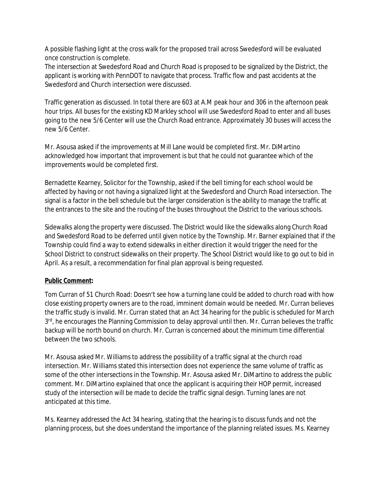A possible flashing light at the cross walk for the proposed trail across Swedesford will be evaluated once construction is complete.

The intersection at Swedesford Road and Church Road is proposed to be signalized by the District, the applicant is working with PennDOT to navigate that process. Traffic flow and past accidents at the Swedesford and Church intersection were discussed.

Traffic generation as discussed. In total there are 603 at A.M peak hour and 306 in the afternoon peak hour trips. All buses for the existing KD Markley school will use Swedesford Road to enter and all buses going to the new 5/6 Center will use the Church Road entrance. Approximately 30 buses will access the new 5/6 Center.

Mr. Asousa asked if the improvements at Mill Lane would be completed first. Mr. DiMartino acknowledged how important that improvement is but that he could not guarantee which of the improvements would be completed first.

Bernadette Kearney, Solicitor for the Township, asked if the bell timing for each school would be affected by having or not having a signalized light at the Swedesford and Church Road intersection. The signal is a factor in the bell schedule but the larger consideration is the ability to manage the traffic at the entrances to the site and the routing of the buses throughout the District to the various schools.

Sidewalks along the property were discussed. The District would like the sidewalks along Church Road and Swedesford Road to be deferred until given notice by the Township. Mr. Barner explained that if the Township could find a way to extend sidewalks in either direction it would trigger the need for the School District to construct sidewalks on their property. The School District would like to go out to bid in April. As a result, a recommendation for final plan approval is being requested.

## **Public Comment:**

Tom Curran of 51 Church Road: Doesn't see how a turning lane could be added to church road with how close existing property owners are to the road, imminent domain would be needed. Mr. Curran believes the traffic study is invalid. Mr. Curran stated that an Act 34 hearing for the public is scheduled for March 3<sup>rd</sup>, he encourages the Planning Commission to delay approval until then. Mr. Curran believes the traffic backup will be north bound on church. Mr. Curran is concerned about the minimum time differential between the two schools.

Mr. Asousa asked Mr. Williams to address the possibility of a traffic signal at the church road intersection. Mr. Williams stated this intersection does not experience the same volume of traffic as some of the other intersections in the Township. Mr. Asousa asked Mr. DiMartino to address the public comment. Mr. DiMartino explained that once the applicant is acquiring their HOP permit, increased study of the intersection will be made to decide the traffic signal design. Turning lanes are not anticipated at this time.

Ms. Kearney addressed the Act 34 hearing, stating that the hearing is to discuss funds and not the planning process, but she does understand the importance of the planning related issues. Ms. Kearney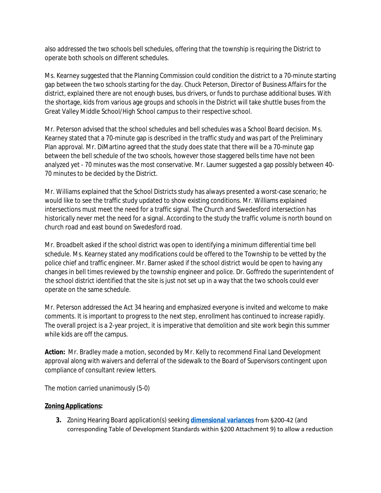also addressed the two schools bell schedules, offering that the township is requiring the District to operate both schools on different schedules.

Ms. Kearney suggested that the Planning Commission could condition the district to a 70-minute starting gap between the two schools starting for the day. Chuck Peterson, Director of Business Affairs for the district, explained there are not enough buses, bus drivers, or funds to purchase additional buses. With the shortage, kids from various age groups and schools in the District will take shuttle buses from the Great Valley Middle School/High School campus to their respective school.

Mr. Peterson advised that the school schedules and bell schedules was a School Board decision. Ms. Kearney stated that a 70-minute gap is described in the traffic study and was part of the Preliminary Plan approval. Mr. DiMartino agreed that the study does state that there will be a 70-minute gap between the bell schedule of the two schools, however those staggered bells time have not been analyzed yet - 70 minutes was the most conservative. Mr. Laumer suggested a gap possibly between 40- 70 minutes to be decided by the District.

Mr. Williams explained that the School Districts study has always presented a worst-case scenario; he would like to see the traffic study updated to show existing conditions. Mr. Williams explained intersections must meet the need for a traffic signal. The Church and Swedesford intersection has historically never met the need for a signal. According to the study the traffic volume is north bound on church road and east bound on Swedesford road.

Mr. Broadbelt asked if the school district was open to identifying a minimum differential time bell schedule. Ms. Kearney stated any modifications could be offered to the Township to be vetted by the police chief and traffic engineer. Mr. Barner asked if the school district would be open to having any changes in bell times reviewed by the township engineer and police. Dr. Goffredo the superintendent of the school district identified that the site is just not set up in a way that the two schools could ever operate on the same schedule.

Mr. Peterson addressed the Act 34 hearing and emphasized everyone is invited and welcome to make comments. It is important to progress to the next step, enrollment has continued to increase rapidly. The overall project is a 2-year project, it is imperative that demolition and site work begin this summer while kids are off the campus.

**Action:** Mr. Bradley made a motion, seconded by Mr. Kelly to recommend Final Land Development approval along with waivers and deferral of the sidewalk to the Board of Supervisors contingent upon compliance of consultant review letters.

The motion carried unanimously (5-0)

## **Zoning Applications:**

**3.** Zoning Hearing Board application(s) seeking **[dimensional variances](https://www.eastwhiteland.org/DocumentCenter/Index/316)** from §200-42 (and corresponding Table of Development Standards within §200 Attachment 9) to allow a reduction